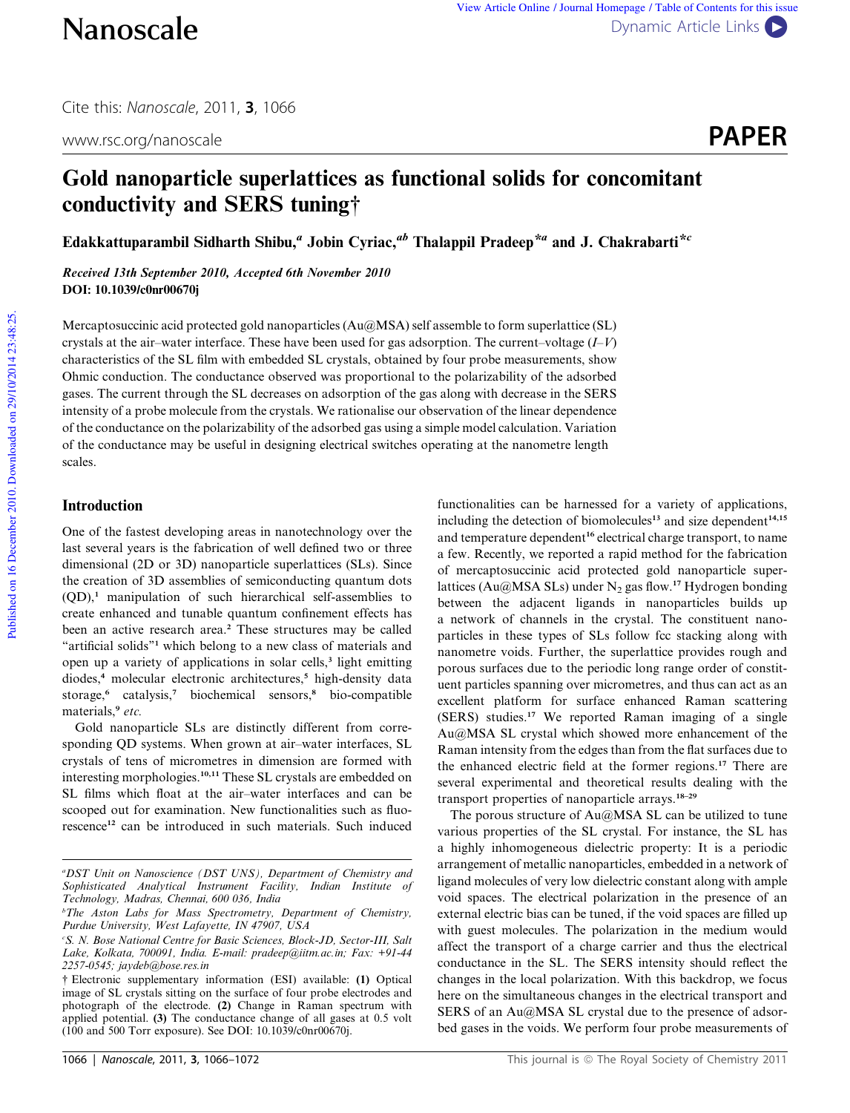www.rsc.org/nanoscale **PAPER** 

# Gold nanoparticle superlattices as functional solids for concomitant conductivity and SERS tuning†

Edakkattuparambil Sidharth Shibu," Jobin Cyriac," Thalappil Pradeep\*" and J. Chakrabarti\*'

Received 13th September 2010, Accepted 6th November 2010 DOI: 10.1039/c0nr00670j

Mercaptosuccinic acid protected gold nanoparticles (Au@MSA) self assemble to form superlattice (SL) crystals at the air–water interface. These have been used for gas adsorption. The current–voltage (*I*–*V*) characteristics of the SL film with embedded SL crystals, obtained by four probe measurements, show Ohmic conduction. The conductance observed was proportional to the polarizability of the adsorbed gases. The current through the SL decreases on adsorption of the gas along with decrease in the SERS intensity of a probe molecule from the crystals. We rationalise our observation of the linear dependence of the conductance on the polarizability of the adsorbed gas using a simple model calculation. Variation of the conductance may be useful in designing electrical switches operating at the nanometre length scales.

# Introduction

One of the fastest developing areas in nanotechnology over the last several years is the fabrication of well defined two or three dimensional (2D or 3D) nanoparticle superlattices (SLs). Since the creation of 3D assemblies of semiconducting quantum dots  $(QD)$ ,<sup>1</sup> manipulation of such hierarchical self-assemblies to create enhanced and tunable quantum confinement effects has been an active research area.<sup>2</sup> These structures may be called "artificial solids"<sup>1</sup> which belong to a new class of materials and open up a variety of applications in solar cells,<sup>3</sup> light emitting diodes,<sup>4</sup> molecular electronic architectures,<sup>5</sup> high-density data storage,<sup>6</sup> catalysis,<sup>7</sup> biochemical sensors,<sup>8</sup> bio-compatible materials,<sup>9</sup> *etc.*

Gold nanoparticle SLs are distinctly different from corresponding QD systems. When grown at air–water interfaces, SL crystals of tens of micrometres in dimension are formed with interesting morphologies.10,11 These SL crystals are embedded on SL films which float at the air–water interfaces and can be scooped out for examination. New functionalities such as fluorescence<sup>12</sup> can be introduced in such materials. Such induced

functionalities can be harnessed for a variety of applications, including the detection of biomolecules<sup>13</sup> and size dependent<sup>14,15</sup> and temperature dependent<sup>16</sup> electrical charge transport, to name a few. Recently, we reported a rapid method for the fabrication of mercaptosuccinic acid protected gold nanoparticle superlattices (Au@MSA SLs) under  $N_2$  gas flow.<sup>17</sup> Hydrogen bonding between the adjacent ligands in nanoparticles builds up a network of channels in the crystal. The constituent nanoparticles in these types of SLs follow fcc stacking along with nanometre voids. Further, the superlattice provides rough and porous surfaces due to the periodic long range order of constituent particles spanning over micrometres, and thus can act as an excellent platform for surface enhanced Raman scattering (SERS) studies.<sup>17</sup> We reported Raman imaging of a single Au@MSA SL crystal which showed more enhancement of the Raman intensity from the edges than from the flat surfaces due to the enhanced electric field at the former regions.<sup>17</sup> There are several experimental and theoretical results dealing with the transport properties of nanoparticle arrays.18–29

The porous structure of Au@MSA SL can be utilized to tune various properties of the SL crystal. For instance, the SL has a highly inhomogeneous dielectric property: It is a periodic arrangement of metallic nanoparticles, embedded in a network of ligand molecules of very low dielectric constant along with ample void spaces. The electrical polarization in the presence of an external electric bias can be tuned, if the void spaces are filled up with guest molecules. The polarization in the medium would affect the transport of a charge carrier and thus the electrical conductance in the SL. The SERS intensity should reflect the changes in the local polarization. With this backdrop, we focus here on the simultaneous changes in the electrical transport and SERS of an Au@MSA SL crystal due to the presence of adsorbed gases in the voids. We perform four probe measurements of

*<sup>a</sup>DST Unit on Nanoscience (DST UNS), Department of Chemistry and Sophisticated Analytical Instrument Facility, Indian Institute of Technology, Madras, Chennai, 600 036, India*

*<sup>b</sup>The Aston Labs for Mass Spectrometry, Department of Chemistry, Purdue University, West Lafayette, IN 47907, USA*

*<sup>c</sup>S. N. Bose National Centre for Basic Sciences, Block-JD, Sector-III, Salt Lake, Kolkata, 700091, India. E-mail: pradeep@iitm.ac.in; Fax: +91-44 2257-0545; jaydeb@bose.res.in*

<sup>†</sup> Electronic supplementary information (ESI) available: (1) Optical image of SL crystals sitting on the surface of four probe electrodes and photograph of the electrode. (2) Change in Raman spectrum with applied potential. (3) The conductance change of all gases at 0.5 volt (100 and 500 Torr exposure). See DOI: 10.1039/c0nr00670j.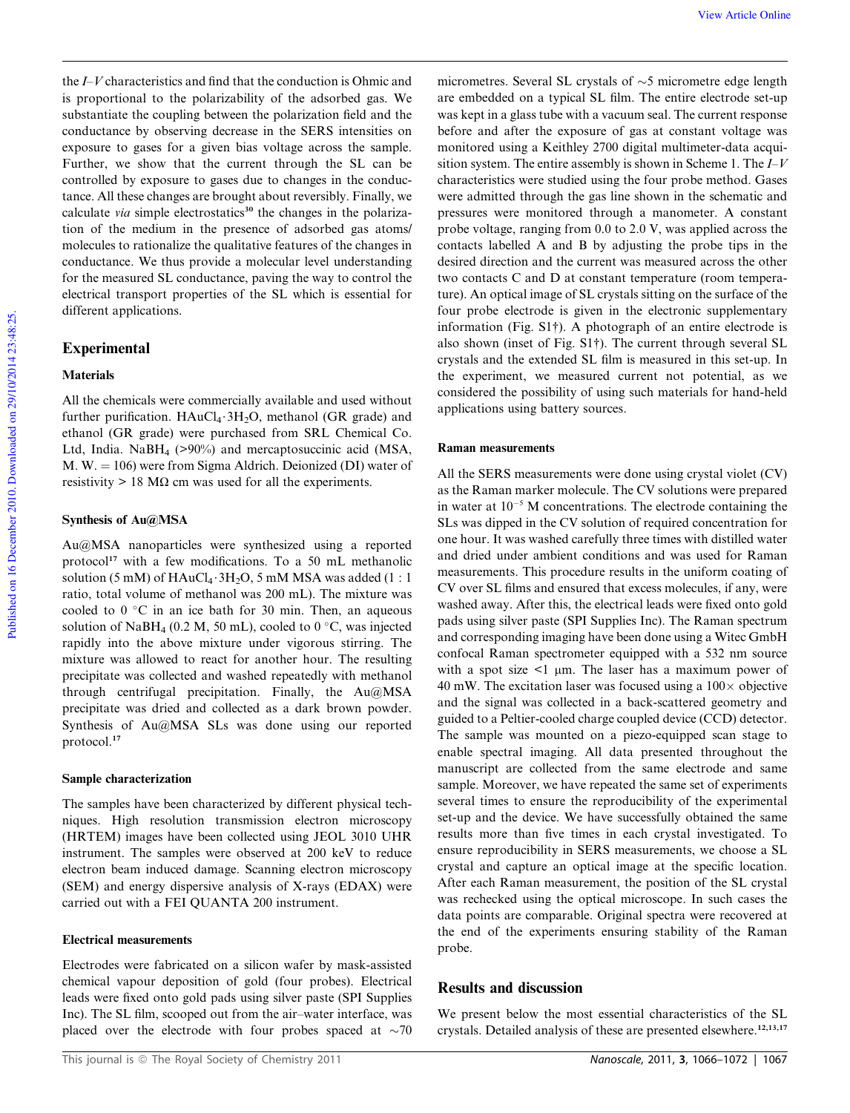the *I*–*V* characteristics and find that the conduction is Ohmic and is proportional to the polarizability of the adsorbed gas. We substantiate the coupling between the polarization field and the conductance by observing decrease in the SERS intensities on exposure to gases for a given bias voltage across the sample. Further, we show that the current through the SL can be controlled by exposure to gases due to changes in the conductance. All these changes are brought about reversibly. Finally, we calculate *via* simple electrostatics<sup>30</sup> the changes in the polarization of the medium in the presence of adsorbed gas atoms/ molecules to rationalize the qualitative features of the changes in conductance. We thus provide a molecular level understanding for the measured SL conductance, paving the way to control the electrical transport properties of the SL which is essential for different applications.

# Experimental

## Materials

All the chemicals were commercially available and used without further purification.  $HAuCl_4 \tcdot 3H_2O$ , methanol (GR grade) and ethanol (GR grade) were purchased from SRL Chemical Co. Ltd, India. NaBH<sub>4</sub> (>90%) and mercaptosuccinic acid (MSA, M. W.  $= 106$ ) were from Sigma Aldrich. Deionized (DI) water of resistivity  $> 18$  M $\Omega$  cm was used for all the experiments.

## Synthesis of Au@MSA

Au@MSA nanoparticles were synthesized using a reported protocol<sup>17</sup> with a few modifications. To a 50 mL methanolic solution (5 mM) of  $HAuCl_4 \cdot 3H_2O$ , 5 mM MSA was added (1 : 1 ratio, total volume of methanol was 200 mL). The mixture was cooled to  $0 °C$  in an ice bath for 30 min. Then, an aqueous solution of NaBH<sub>4</sub> (0.2 M, 50 mL), cooled to 0  $^{\circ}$ C, was injected rapidly into the above mixture under vigorous stirring. The mixture was allowed to react for another hour. The resulting precipitate was collected and washed repeatedly with methanol through centrifugal precipitation. Finally, the Au@MSA precipitate was dried and collected as a dark brown powder. Synthesis of Au@MSA SLs was done using our reported protocol.<sup>17</sup>

## Sample characterization

The samples have been characterized by different physical techniques. High resolution transmission electron microscopy (HRTEM) images have been collected using JEOL 3010 UHR instrument. The samples were observed at 200 keV to reduce electron beam induced damage. Scanning electron microscopy (SEM) and energy dispersive analysis of X-rays (EDAX) were carried out with a FEI QUANTA 200 instrument.

## Electrical measurements

Electrodes were fabricated on a silicon wafer by mask-assisted chemical vapour deposition of gold (four probes). Electrical leads were fixed onto gold pads using silver paste (SPI Supplies Inc). The SL film, scooped out from the air–water interface, was placed over the electrode with four probes spaced at  $\sim$ 70

Published on 16 December 2010. Downloaded on 29/10/2014 23:48:25. Published on 16 December 2010. Downloaded on 29/10/2014 23:48:25.

micrometres. Several SL crystals of  $\sim$ 5 micrometre edge length are embedded on a typical SL film. The entire electrode set-up was kept in a glass tube with a vacuum seal. The current response before and after the exposure of gas at constant voltage was monitored using a Keithley 2700 digital multimeter-data acquisition system. The entire assembly is shown in Scheme 1. The *I*–*V* characteristics were studied using the four probe method. Gases were admitted through the gas line shown in the schematic and pressures were monitored through a manometer. A constant probe voltage, ranging from 0.0 to 2.0 V, was applied across the contacts labelled A and B by adjusting the probe tips in the desired direction and the current was measured across the other two contacts C and D at constant temperature (room temperature). An optical image of SL crystals sitting on the surface of the four probe electrode is given in the electronic supplementary information (Fig. S1†). A photograph of an entire electrode is also shown (inset of Fig. S1†). The current through several SL crystals and the extended SL film is measured in this set-up. In the experiment, we measured current not potential, as we considered the possibility of using such materials for hand-held applications using battery sources.

#### Raman measurements

All the SERS measurements were done using crystal violet (CV) as the Raman marker molecule. The CV solutions were prepared in water at  $10^{-5}$  M concentrations. The electrode containing the SLs was dipped in the CV solution of required concentration for one hour. It was washed carefully three times with distilled water and dried under ambient conditions and was used for Raman measurements. This procedure results in the uniform coating of CV over SL films and ensured that excess molecules, if any, were washed away. After this, the electrical leads were fixed onto gold pads using silver paste (SPI Supplies Inc). The Raman spectrum and corresponding imaging have been done using a Witec GmbH confocal Raman spectrometer equipped with a 532 nm source with a spot size  $\leq 1$  µm. The laser has a maximum power of 40 mW. The excitation laser was focused using a  $100 \times$  objective and the signal was collected in a back-scattered geometry and guided to a Peltier-cooled charge coupled device (CCD) detector. The sample was mounted on a piezo-equipped scan stage to enable spectral imaging. All data presented throughout the manuscript are collected from the same electrode and same sample. Moreover, we have repeated the same set of experiments several times to ensure the reproducibility of the experimental set-up and the device. We have successfully obtained the same results more than five times in each crystal investigated. To ensure reproducibility in SERS measurements, we choose a SL crystal and capture an optical image at the specific location. After each Raman measurement, the position of the SL crystal was rechecked using the optical microscope. In such cases the data points are comparable. Original spectra were recovered at the end of the experiments ensuring stability of the Raman probe.

# Results and discussion

We present below the most essential characteristics of the SL crystals. Detailed analysis of these are presented elsewhere.<sup>12,13,17</sup>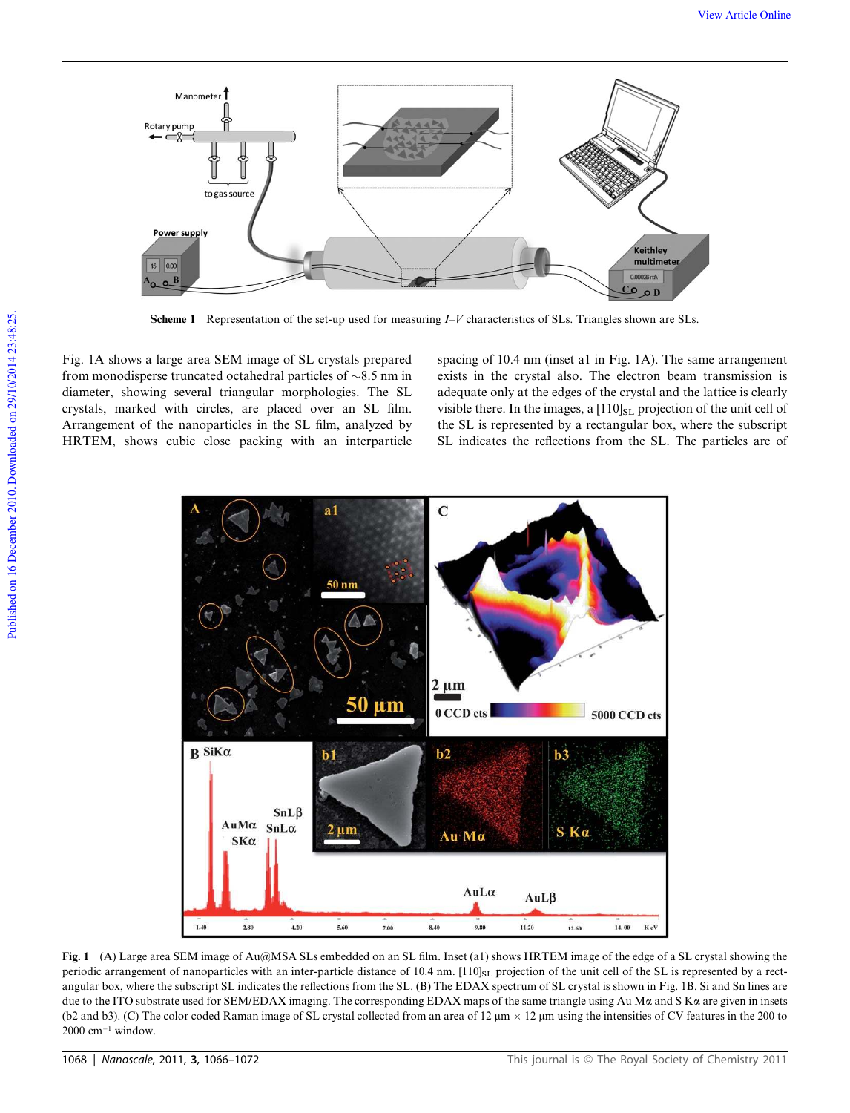

Scheme 1 Representation of the set-up used for measuring *I–V* characteristics of SLs. Triangles shown are SLs.

Fig. 1A shows a large area SEM image of SL crystals prepared from monodisperse truncated octahedral particles of  $\sim 8.5$  nm in diameter, showing several triangular morphologies. The SL crystals, marked with circles, are placed over an SL film. Arrangement of the nanoparticles in the SL film, analyzed by HRTEM, shows cubic close packing with an interparticle spacing of 10.4 nm (inset a1 in Fig. 1A). The same arrangement exists in the crystal also. The electron beam transmission is adequate only at the edges of the crystal and the lattice is clearly visible there. In the images, a  $[110]_{SL}$  projection of the unit cell of the SL is represented by a rectangular box, where the subscript SL indicates the reflections from the SL. The particles are of



Fig. 1 (A) Large area SEM image of Au@MSA SLs embedded on an SL film. Inset (a1) shows HRTEM image of the edge of a SL crystal showing the periodic arrangement of nanoparticles with an inter-particle distance of 10.4 nm.  $[110]_{SL}$  projection of the unit cell of the SL is represented by a rectangular box, where the subscript SL indicates the reflections from the SL. (B) The EDAX spectrum of SL crystal is shown in Fig. 1B. Si and Sn lines are due to the ITO substrate used for SEM/EDAX imaging. The corresponding EDAX maps of the same triangle using Au M $\alpha$  and S K $\alpha$  are given in insets (b2 and b3). (C) The color coded Raman image of SL crystal collected from an area of  $12 \mu m \times 12 \mu m$  using the intensities of CV features in the 200 to  $2000$  cm<sup>-1</sup> window.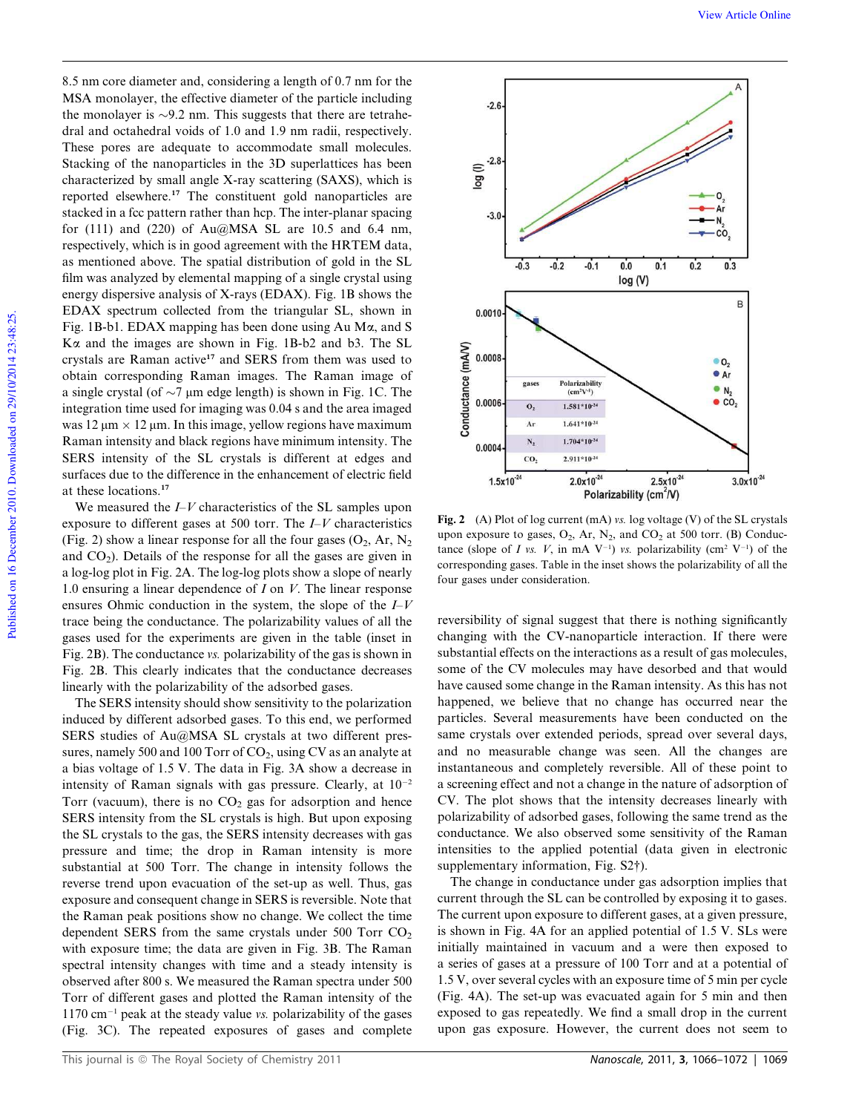8.5 nm core diameter and, considering a length of 0.7 nm for the MSA monolayer, the effective diameter of the particle including the monolayer is  $\sim$ 9.2 nm. This suggests that there are tetrahedral and octahedral voids of 1.0 and 1.9 nm radii, respectively. These pores are adequate to accommodate small molecules. Stacking of the nanoparticles in the 3D superlattices has been characterized by small angle X-ray scattering (SAXS), which is reported elsewhere.<sup>17</sup> The constituent gold nanoparticles are stacked in a fcc pattern rather than hcp. The inter-planar spacing for  $(111)$  and  $(220)$  of Au $@MSA$  SL are 10.5 and 6.4 nm, respectively, which is in good agreement with the HRTEM data, as mentioned above. The spatial distribution of gold in the SL film was analyzed by elemental mapping of a single crystal using energy dispersive analysis of X-rays (EDAX). Fig. 1B shows the EDAX spectrum collected from the triangular SL, shown in Fig. 1B-b1. EDAX mapping has been done using Au Ma, and S Ka and the images are shown in Fig. 1B-b2 and b3. The SL crystals are Raman active<sup>17</sup> and SERS from them was used to obtain corresponding Raman images. The Raman image of a single crystal (of  $\sim$ 7 µm edge length) is shown in Fig. 1C. The integration time used for imaging was 0.04 s and the area imaged was  $12 \mu m \times 12 \mu m$ . In this image, yellow regions have maximum Raman intensity and black regions have minimum intensity. The SERS intensity of the SL crystals is different at edges and surfaces due to the difference in the enhancement of electric field at these locations.<sup>17</sup>

We measured the *I*–*V* characteristics of the SL samples upon exposure to different gases at 500 torr. The *I*–*V* characteristics (Fig. 2) show a linear response for all the four gases  $(O_2, Ar, N_2)$ and  $CO<sub>2</sub>$ ). Details of the response for all the gases are given in a log-log plot in Fig. 2A. The log-log plots show a slope of nearly 1.0 ensuring a linear dependence of *I* on *V*. The linear response ensures Ohmic conduction in the system, the slope of the *I*–*V* trace being the conductance. The polarizability values of all the gases used for the experiments are given in the table (inset in Fig. 2B). The conductance *vs.* polarizability of the gas is shown in Fig. 2B. This clearly indicates that the conductance decreases linearly with the polarizability of the adsorbed gases.

The SERS intensity should show sensitivity to the polarization induced by different adsorbed gases. To this end, we performed SERS studies of Au@MSA SL crystals at two different pressures, namely 500 and 100 Torr of  $CO<sub>2</sub>$ , using CV as an analyte at a bias voltage of 1.5 V. The data in Fig. 3A show a decrease in intensity of Raman signals with gas pressure. Clearly, at  $10^{-2}$ Torr (vacuum), there is no  $CO<sub>2</sub>$  gas for adsorption and hence SERS intensity from the SL crystals is high. But upon exposing the SL crystals to the gas, the SERS intensity decreases with gas pressure and time; the drop in Raman intensity is more substantial at 500 Torr. The change in intensity follows the reverse trend upon evacuation of the set-up as well. Thus, gas exposure and consequent change in SERS is reversible. Note that the Raman peak positions show no change. We collect the time dependent SERS from the same crystals under 500 Torr  $CO<sub>2</sub>$ with exposure time; the data are given in Fig. 3B. The Raman spectral intensity changes with time and a steady intensity is observed after 800 s. We measured the Raman spectra under 500 Torr of different gases and plotted the Raman intensity of the 1170 cm<sup>-1</sup> peak at the steady value *vs*. polarizability of the gases (Fig. 3C). The repeated exposures of gases and complete



Fig. 2 (A) Plot of log current (mA) *vs.* log voltage (V) of the SL crystals upon exposure to gases,  $O_2$ , Ar,  $N_2$ , and  $CO_2$  at 500 torr. (B) Conductance (slope of *I vs. V*, in mA  $V^{-1}$ ) *vs.* polarizability (cm<sup>2</sup>  $V^{-1}$ ) of the corresponding gases. Table in the inset shows the polarizability of all the four gases under consideration.

reversibility of signal suggest that there is nothing significantly changing with the CV-nanoparticle interaction. If there were substantial effects on the interactions as a result of gas molecules, some of the CV molecules may have desorbed and that would have caused some change in the Raman intensity. As this has not happened, we believe that no change has occurred near the particles. Several measurements have been conducted on the same crystals over extended periods, spread over several days, and no measurable change was seen. All the changes are instantaneous and completely reversible. All of these point to a screening effect and not a change in the nature of adsorption of CV. The plot shows that the intensity decreases linearly with polarizability of adsorbed gases, following the same trend as the conductance. We also observed some sensitivity of the Raman intensities to the applied potential (data given in electronic supplementary information, Fig. S2†).

The change in conductance under gas adsorption implies that current through the SL can be controlled by exposing it to gases. The current upon exposure to different gases, at a given pressure, is shown in Fig. 4A for an applied potential of 1.5 V. SLs were initially maintained in vacuum and a were then exposed to a series of gases at a pressure of 100 Torr and at a potential of 1.5 V, over several cycles with an exposure time of 5 min per cycle (Fig. 4A). The set-up was evacuated again for 5 min and then exposed to gas repeatedly. We find a small drop in the current upon gas exposure. However, the current does not seem to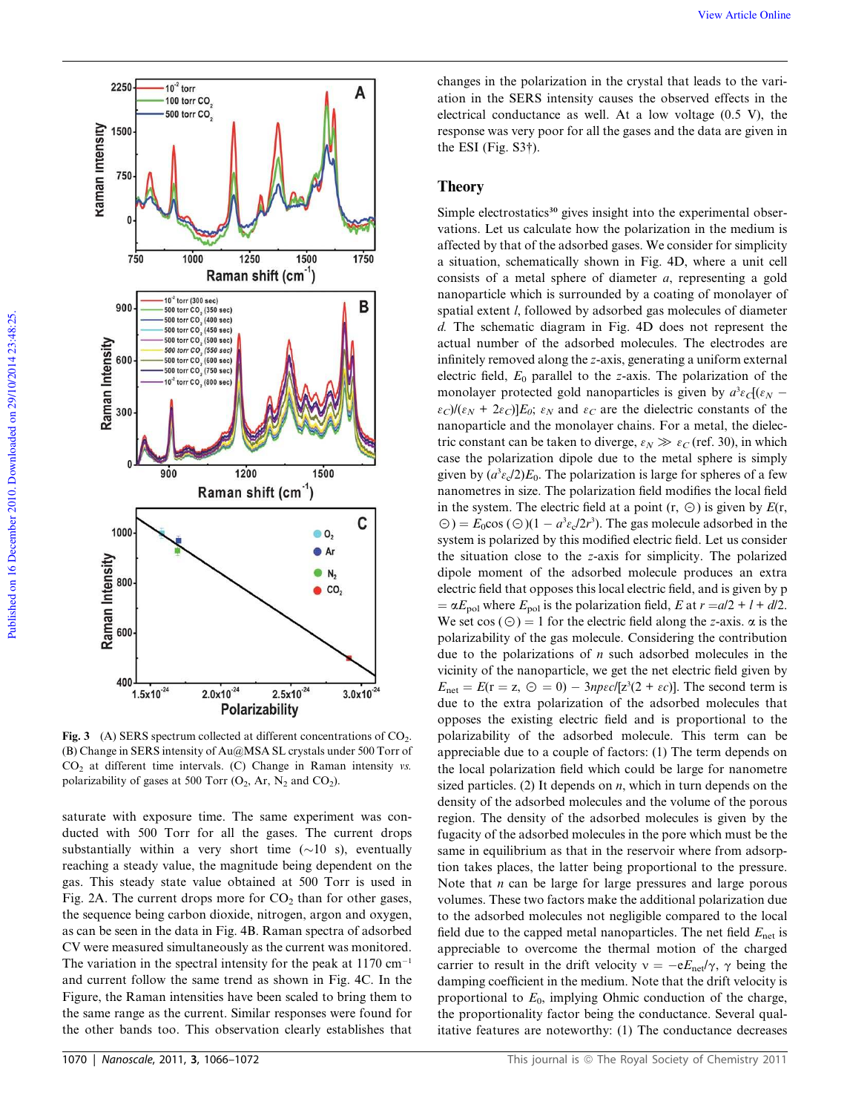

Fig. 3 (A) SERS spectrum collected at different concentrations of  $CO<sub>2</sub>$ . (B) Change in SERS intensity of Au@MSA SL crystals under 500 Torr of CO<sup>2</sup> at different time intervals. (C) Change in Raman intensity *vs.* polarizability of gases at 500 Torr  $(O_2, Ar, N_2$  and  $CO_2$ ).

saturate with exposure time. The same experiment was conducted with 500 Torr for all the gases. The current drops substantially within a very short time  $(\sim 10 \text{ s})$ , eventually reaching a steady value, the magnitude being dependent on the gas. This steady state value obtained at 500 Torr is used in Fig. 2A. The current drops more for  $CO<sub>2</sub>$  than for other gases, the sequence being carbon dioxide, nitrogen, argon and oxygen, as can be seen in the data in Fig. 4B. Raman spectra of adsorbed CV were measured simultaneously as the current was monitored. The variation in the spectral intensity for the peak at  $1170 \text{ cm}^{-1}$ and current follow the same trend as shown in Fig. 4C. In the Figure, the Raman intensities have been scaled to bring them to the same range as the current. Similar responses were found for the other bands too. This observation clearly establishes that changes in the polarization in the crystal that leads to the variation in the SERS intensity causes the observed effects in the electrical conductance as well. At a low voltage (0.5 V), the response was very poor for all the gases and the data are given in the ESI (Fig. S3†).

# Theory

Simple electrostatics<sup>30</sup> gives insight into the experimental observations. Let us calculate how the polarization in the medium is affected by that of the adsorbed gases. We consider for simplicity a situation, schematically shown in Fig. 4D, where a unit cell consists of a metal sphere of diameter *a*, representing a gold nanoparticle which is surrounded by a coating of monolayer of spatial extent *l*, followed by adsorbed gas molecules of diameter *d.* The schematic diagram in Fig. 4D does not represent the actual number of the adsorbed molecules. The electrodes are infinitely removed along the *z*-axis, generating a uniform external electric field, *E*<sup>0</sup> parallel to the *z*-axis. The polarization of the monolayer protected gold nanoparticles is given by  $a^3 \varepsilon_c[(\varepsilon_N \epsilon_C$ / $(\epsilon_N + 2\epsilon_C)E_0$ ;  $\epsilon_N$  and  $\epsilon_C$  are the dielectric constants of the nanoparticle and the monolayer chains. For a metal, the dielectric constant can be taken to diverge,  $\varepsilon_N \gg \varepsilon_C$  (ref. 30), in which case the polarization dipole due to the metal sphere is simply given by  $(a^3 \varepsilon \sqrt{2})E_0$ . The polarization is large for spheres of a few nanometres in size. The polarization field modifies the local field in the system. The electric field at a point  $(r, \Theta)$  is given by  $E(r, \Theta)$  $\Theta$ ) =  $E_0$ cos ( $\Theta$ )(1 –  $a^3 \varepsilon_0/2r^3$ ). The gas molecule adsorbed in the system is polarized by this modified electric field. Let us consider the situation close to the *z*-axis for simplicity. The polarized dipole moment of the adsorbed molecule produces an extra electric field that opposes this local electric field, and is given by p  $= \alpha E_{pol}$  where  $E_{pol}$  is the polarization field, *E* at  $r = a/2 + l + d/2$ . We set  $cos(\Theta) = 1$  for the electric field along the *z*-axis.  $\alpha$  is the polarizability of the gas molecule. Considering the contribution due to the polarizations of *n* such adsorbed molecules in the vicinity of the nanoparticle, we get the net electric field given by  $E_{\text{net}} = E(r = z, \Theta = 0) - 3\eta \epsilon c/[z^3(2 + \epsilon c)]$ . The second term is due to the extra polarization of the adsorbed molecules that opposes the existing electric field and is proportional to the polarizability of the adsorbed molecule. This term can be appreciable due to a couple of factors: (1) The term depends on the local polarization field which could be large for nanometre sized particles. (2) It depends on *n*, which in turn depends on the density of the adsorbed molecules and the volume of the porous region. The density of the adsorbed molecules is given by the fugacity of the adsorbed molecules in the pore which must be the same in equilibrium as that in the reservoir where from adsorption takes places, the latter being proportional to the pressure. Note that *n* can be large for large pressures and large porous volumes. These two factors make the additional polarization due to the adsorbed molecules not negligible compared to the local field due to the capped metal nanoparticles. The net field  $E_{net}$  is appreciable to overcome the thermal motion of the charged carrier to result in the drift velocity  $v = -eE_{\text{net}}/\gamma$ ,  $\gamma$  being the damping coefficient in the medium. Note that the drift velocity is proportional to  $E_0$ , implying Ohmic conduction of the charge, the proportionality factor being the conductance. Several qualitative features are noteworthy: (1) The conductance decreases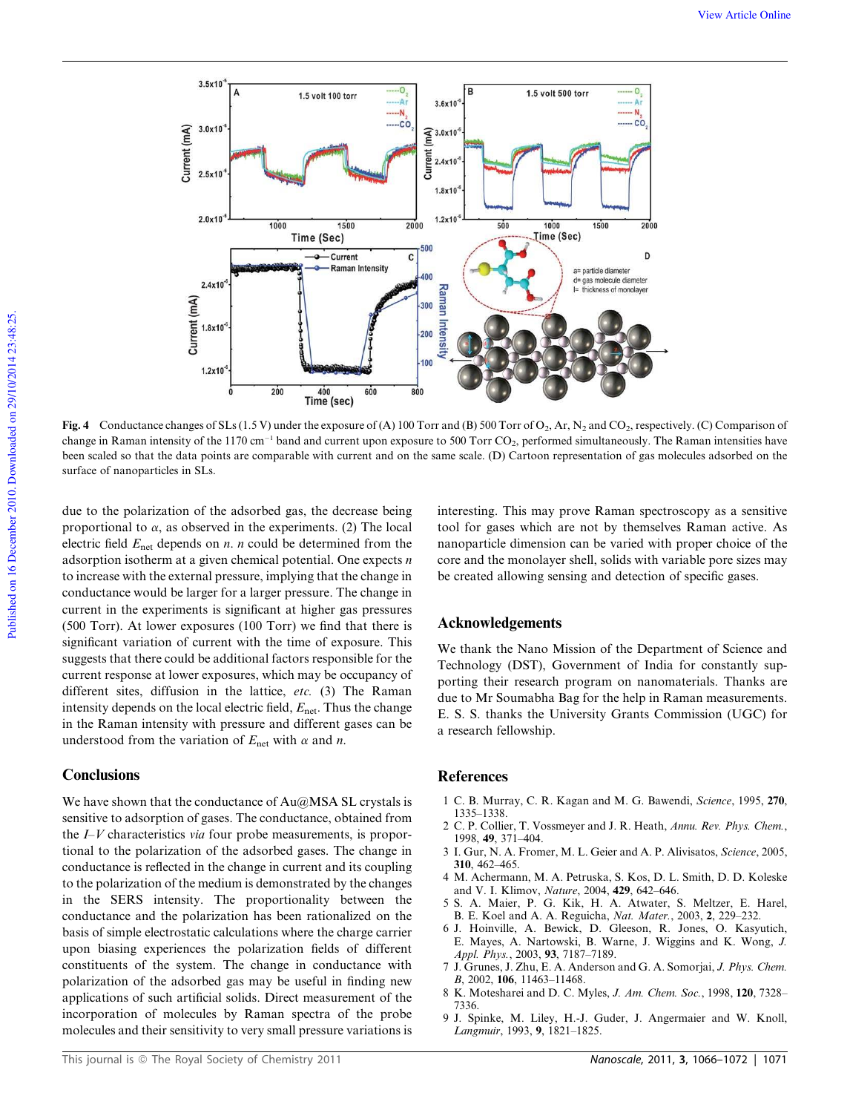

Fig. 4 Conductance changes of SLs (1.5 V) under the exposure of (A) 100 Torr and (B) 500 Torr of O<sub>2</sub>, Ar, N<sub>2</sub> and CO<sub>2</sub>, respectively. (C) Comparison of change in Raman intensity of the  $1170 \text{ cm}^{-1}$  band and current upon exposure to 500 Torr CO<sub>2</sub>, performed simultaneously. The Raman intensities have been scaled so that the data points are comparable with current and on the same scale. (D) Cartoon representation of gas molecules adsorbed on the surface of nanoparticles in SLs.

due to the polarization of the adsorbed gas, the decrease being proportional to  $\alpha$ , as observed in the experiments. (2) The local electric field  $E_{\text{net}}$  depends on *n*. *n* could be determined from the adsorption isotherm at a given chemical potential. One expects *n* to increase with the external pressure, implying that the change in conductance would be larger for a larger pressure. The change in current in the experiments is significant at higher gas pressures (500 Torr). At lower exposures (100 Torr) we find that there is significant variation of current with the time of exposure. This suggests that there could be additional factors responsible for the current response at lower exposures, which may be occupancy of different sites, diffusion in the lattice, *etc.* (3) The Raman intensity depends on the local electric field,  $E_{\text{net}}$ . Thus the change in the Raman intensity with pressure and different gases can be understood from the variation of  $E_{\text{net}}$  with  $\alpha$  and *n*.

# **Conclusions**

We have shown that the conductance of  $Au@MSA$  SL crystals is sensitive to adsorption of gases. The conductance, obtained from the *I*–*V* characteristics *via* four probe measurements, is proportional to the polarization of the adsorbed gases. The change in conductance is reflected in the change in current and its coupling to the polarization of the medium is demonstrated by the changes in the SERS intensity. The proportionality between the conductance and the polarization has been rationalized on the basis of simple electrostatic calculations where the charge carrier upon biasing experiences the polarization fields of different constituents of the system. The change in conductance with polarization of the adsorbed gas may be useful in finding new applications of such artificial solids. Direct measurement of the incorporation of molecules by Raman spectra of the probe molecules and their sensitivity to very small pressure variations is

interesting. This may prove Raman spectroscopy as a sensitive tool for gases which are not by themselves Raman active. As nanoparticle dimension can be varied with proper choice of the core and the monolayer shell, solids with variable pore sizes may be created allowing sensing and detection of specific gases.

# Acknowledgements

We thank the Nano Mission of the Department of Science and Technology (DST), Government of India for constantly supporting their research program on nanomaterials. Thanks are due to Mr Soumabha Bag for the help in Raman measurements. E. S. S. thanks the University Grants Commission (UGC) for a research fellowship.

## **References**

- 1 C. B. Murray, C. R. Kagan and M. G. Bawendi, *Science*, 1995, 270, 1335–1338.
- 2 C. P. Collier, T. Vossmeyer and J. R. Heath, *Annu. Rev. Phys. Chem.*, 1998, 49, 371–404.
- 3 I. Gur, N. A. Fromer, M. L. Geier and A. P. Alivisatos, *Science*, 2005, 310, 462–465.
- 4 M. Achermann, M. A. Petruska, S. Kos, D. L. Smith, D. D. Koleske and V. I. Klimov, *Nature*, 2004, 429, 642–646.
- 5 S. A. Maier, P. G. Kik, H. A. Atwater, S. Meltzer, E. Harel, B. E. Koel and A. A. Reguicha, *Nat. Mater.*, 2003, 2, 229–232.
- 6 J. Hoinville, A. Bewick, D. Gleeson, R. Jones, O. Kasyutich, E. Mayes, A. Nartowski, B. Warne, J. Wiggins and K. Wong, *J. Appl. Phys.*, 2003, 93, 7187–7189.
- 7 J. Grunes, J. Zhu, E. A. Anderson and G. A. Somorjai, *J. Phys. Chem. B*, 2002, 106, 11463–11468.
- 8 K. Motesharei and D. C. Myles, *J. Am. Chem. Soc.*, 1998, 120, 7328– 7336.
- 9 J. Spinke, M. Liley, H.-J. Guder, J. Angermaier and W. Knoll, *Langmuir*, 1993, 9, 1821–1825.